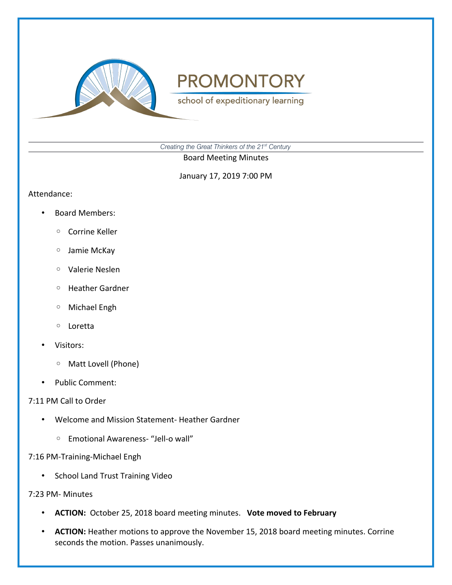

school of expeditionary learning

*Creating the Great Thinkers of the 21st Century*

Board Meeting Minutes

January 17, 2019 7:00 PM

#### Attendance:

- Board Members:
	- Corrine Keller
	- Jamie McKay
	- Valerie Neslen
	- Heather Gardner
	- Michael Engh
	- Loretta
- Visitors:
	- Matt Lovell (Phone)
- Public Comment:

### 7:11 PM Call to Order

- Welcome and Mission Statement- Heather Gardner
	- Emotional Awareness- "Jell-o wall"

### 7:16 PM-Training-Michael Engh

• School Land Trust Training Video

#### 7:23 PM- Minutes

- **ACTION:** October 25, 2018 board meeting minutes. **Vote moved to February**
- **ACTION:** Heather motions to approve the November 15, 2018 board meeting minutes. Corrine seconds the motion. Passes unanimously.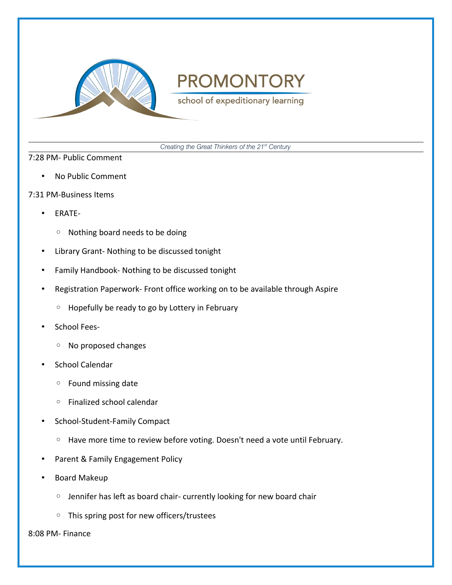

school of expeditionary learning

*Creating the Great Thinkers of the 21st Century*

#### 7:28 PM- Public Comment

- No Public Comment
- 7:31 PM-Business Items
	- ERATE-
		- Nothing board needs to be doing
	- Library Grant- Nothing to be discussed tonight
	- Family Handbook- Nothing to be discussed tonight
	- Registration Paperwork- Front office working on to be available through Aspire
		- Hopefully be ready to go by Lottery in February
	- School Fees-
		- No proposed changes
	- School Calendar
		- Found missing date
		- Finalized school calendar
	- School-Student-Family Compact
		- Have more time to review before voting. Doesn't need a vote until February.
	- Parent & Family Engagement Policy
	- Board Makeup
		- Jennifer has left as board chair- currently looking for new board chair
		- This spring post for new officers/trustees

8:08 PM- Finance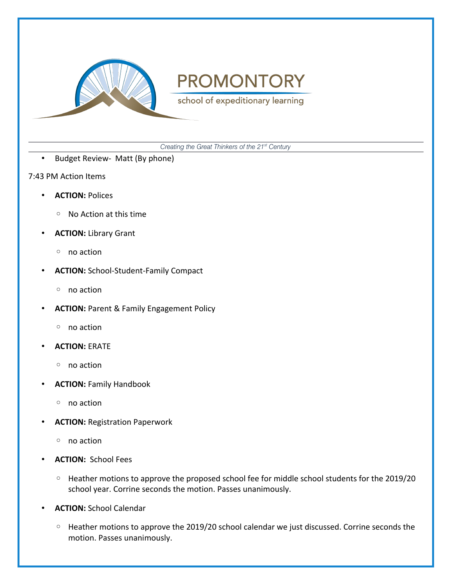

school of expeditionary learning

*Creating the Great Thinkers of the 21st Century*

- Budget Review- Matt (By phone)
- 7:43 PM Action Items
	- **ACTION:** Polices
		- No Action at this time
	- **ACTION:** Library Grant
		- no action
	- **ACTION:** School-Student-Family Compact
		- no action
	- **ACTION:** Parent & Family Engagement Policy
		- no action
	- **ACTION:** ERATE
		- no action
	- **ACTION:** Family Handbook
		- no action
	- **ACTION:** Registration Paperwork
		- no action
	- **ACTION:** School Fees
		- Heather motions to approve the proposed school fee for middle school students for the 2019/20 school year. Corrine seconds the motion. Passes unanimously.
	- **ACTION:** School Calendar
		- Heather motions to approve the 2019/20 school calendar we just discussed. Corrine seconds the motion. Passes unanimously.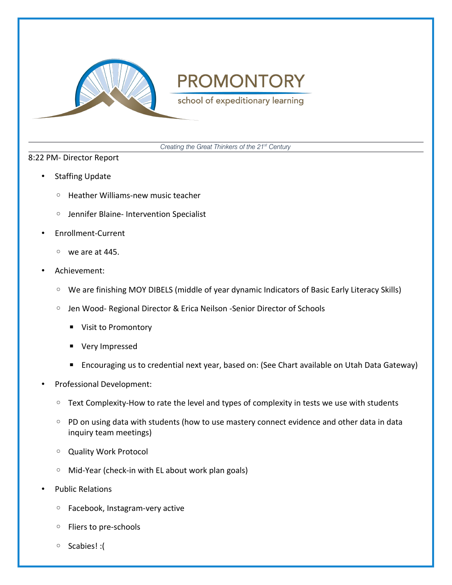

school of expeditionary learning

*Creating the Great Thinkers of the 21st Century*

#### 8:22 PM- Director Report

- Staffing Update
	- Heather Williams-new music teacher
	- Jennifer Blaine- Intervention Specialist
- Enrollment-Current
	- we are at 445.
- Achievement:
	- We are finishing MOY DIBELS (middle of year dynamic Indicators of Basic Early Literacy Skills)
	- Jen Wood- Regional Director & Erica Neilson -Senior Director of Schools
		- Visit to Promontory
		- Very Impressed
		- Encouraging us to credential next year, based on: (See Chart available on Utah Data Gateway)
- Professional Development:
	- Text Complexity-How to rate the level and types of complexity in tests we use with students
	- PD on using data with students (how to use mastery connect evidence and other data in data inquiry team meetings)
	- Quality Work Protocol
	- Mid-Year (check-in with EL about work plan goals)
- Public Relations
	- Facebook, Instagram-very active
	- Fliers to pre-schools
	- Scabies! :(